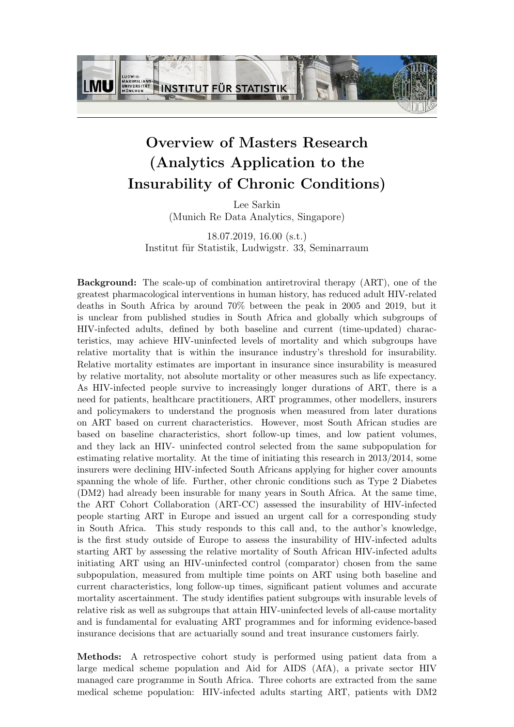

## Overview of Masters Research (Analytics Application to the Insurability of Chronic Conditions)

Lee Sarkin (Munich Re Data Analytics, Singapore)

18.07.2019, 16.00 (s.t.) Institut für Statistik, Ludwigstr. 33, Seminarraum

Background: The scale-up of combination antiretroviral therapy (ART), one of the greatest pharmacological interventions in human history, has reduced adult HIV-related deaths in South Africa by around 70% between the peak in 2005 and 2019, but it is unclear from published studies in South Africa and globally which subgroups of HIV-infected adults, defined by both baseline and current (time-updated) characteristics, may achieve HIV-uninfected levels of mortality and which subgroups have relative mortality that is within the insurance industry's threshold for insurability. Relative mortality estimates are important in insurance since insurability is measured by relative mortality, not absolute mortality or other measures such as life expectancy. As HIV-infected people survive to increasingly longer durations of ART, there is a need for patients, healthcare practitioners, ART programmes, other modellers, insurers and policymakers to understand the prognosis when measured from later durations on ART based on current characteristics. However, most South African studies are based on baseline characteristics, short follow-up times, and low patient volumes, and they lack an HIV- uninfected control selected from the same subpopulation for estimating relative mortality. At the time of initiating this research in 2013/2014, some insurers were declining HIV-infected South Africans applying for higher cover amounts spanning the whole of life. Further, other chronic conditions such as Type 2 Diabetes (DM2) had already been insurable for many years in South Africa. At the same time, the ART Cohort Collaboration (ART-CC) assessed the insurability of HIV-infected people starting ART in Europe and issued an urgent call for a corresponding study in South Africa. This study responds to this call and, to the author's knowledge, is the first study outside of Europe to assess the insurability of HIV-infected adults starting ART by assessing the relative mortality of South African HIV-infected adults initiating ART using an HIV-uninfected control (comparator) chosen from the same subpopulation, measured from multiple time points on ART using both baseline and current characteristics, long follow-up times, significant patient volumes and accurate mortality ascertainment. The study identifies patient subgroups with insurable levels of relative risk as well as subgroups that attain HIV-uninfected levels of all-cause mortality and is fundamental for evaluating ART programmes and for informing evidence-based insurance decisions that are actuarially sound and treat insurance customers fairly.

Methods: A retrospective cohort study is performed using patient data from a large medical scheme population and Aid for AIDS (AfA), a private sector HIV managed care programme in South Africa. Three cohorts are extracted from the same medical scheme population: HIV-infected adults starting ART, patients with DM2